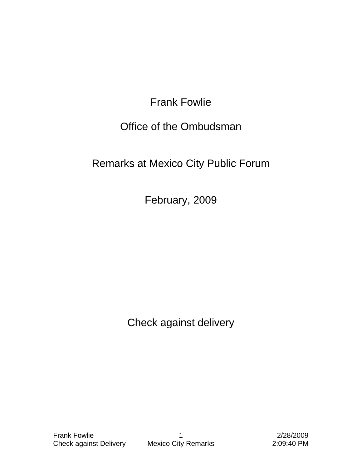Frank Fowlie

## Office of the Ombudsman

## Remarks at Mexico City Public Forum

February, 2009

Check against delivery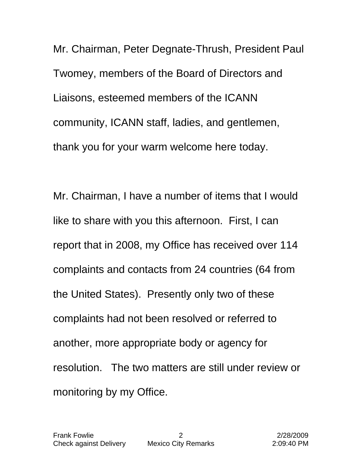Mr. Chairman, Peter Degnate-Thrush, President Paul Twomey, members of the Board of Directors and Liaisons, esteemed members of the ICANN community, ICANN staff, ladies, and gentlemen, thank you for your warm welcome here today.

Mr. Chairman, I have a number of items that I would like to share with you this afternoon. First, I can report that in 2008, my Office has received over 114 complaints and contacts from 24 countries (64 from the United States). Presently only two of these complaints had not been resolved or referred to another, more appropriate body or agency for resolution. The two matters are still under review or monitoring by my Office.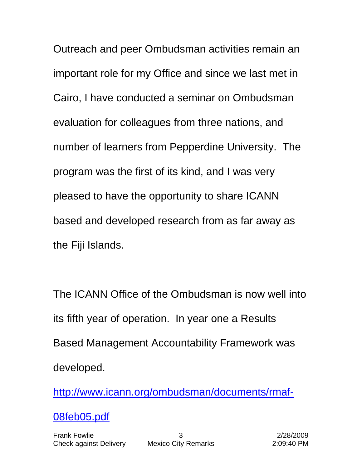Outreach and peer Ombudsman activities remain an important role for my Office and since we last met in Cairo, I have conducted a seminar on Ombudsman evaluation for colleagues from three nations, and number of learners from Pepperdine University. The program was the first of its kind, and I was very pleased to have the opportunity to share ICANN based and developed research from as far away as the Fiji Islands.

The ICANN Office of the Ombudsman is now well into its fifth year of operation. In year one a Results Based Management Accountability Framework was developed.

[http://www.icann.org/ombudsman/documents/rmaf-](http://www.icann.org/ombudsman/documents/rmaf-08feb05.pdf)

[08feb05.pdf](http://www.icann.org/ombudsman/documents/rmaf-08feb05.pdf)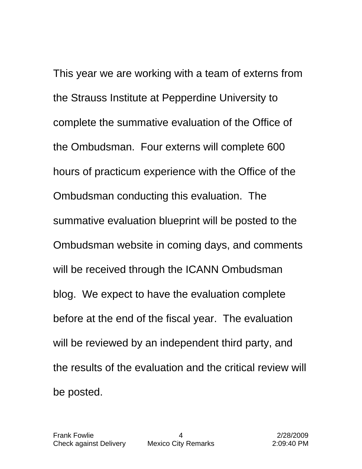This year we are working with a team of externs from the Strauss Institute at Pepperdine University to complete the summative evaluation of the Office of the Ombudsman. Four externs will complete 600 hours of practicum experience with the Office of the Ombudsman conducting this evaluation. The summative evaluation blueprint will be posted to the Ombudsman website in coming days, and comments will be received through the ICANN Ombudsman blog. We expect to have the evaluation complete before at the end of the fiscal year. The evaluation will be reviewed by an independent third party, and the results of the evaluation and the critical review will be posted.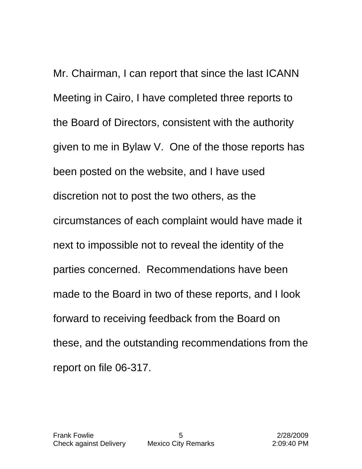Mr. Chairman, I can report that since the last ICANN Meeting in Cairo, I have completed three reports to the Board of Directors, consistent with the authority given to me in Bylaw V. One of the those reports has been posted on the website, and I have used discretion not to post the two others, as the circumstances of each complaint would have made it next to impossible not to reveal the identity of the parties concerned. Recommendations have been made to the Board in two of these reports, and I look forward to receiving feedback from the Board on these, and the outstanding recommendations from the report on file 06-317.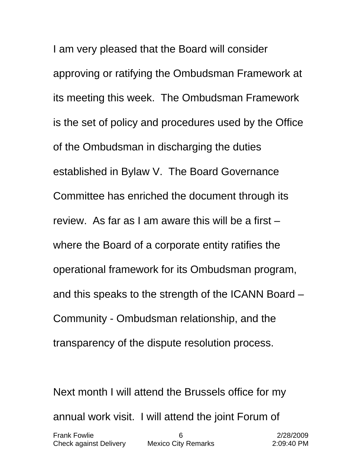I am very pleased that the Board will consider approving or ratifying the Ombudsman Framework at its meeting this week. The Ombudsman Framework is the set of policy and procedures used by the Office of the Ombudsman in discharging the duties established in Bylaw V. The Board Governance Committee has enriched the document through its review. As far as I am aware this will be a first – where the Board of a corporate entity ratifies the operational framework for its Ombudsman program, and this speaks to the strength of the ICANN Board – Community - Ombudsman relationship, and the transparency of the dispute resolution process.

Next month I will attend the Brussels office for my annual work visit. I will attend the joint Forum of

| <b>Frank Fowlie</b>           |                            | 2/28/2009  |
|-------------------------------|----------------------------|------------|
| <b>Check against Delivery</b> | <b>Mexico City Remarks</b> | 2:09:40 PM |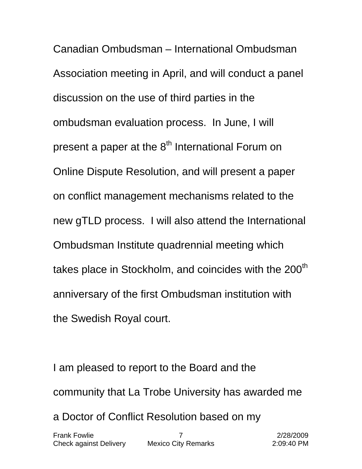Canadian Ombudsman – International Ombudsman Association meeting in April, and will conduct a panel discussion on the use of third parties in the ombudsman evaluation process. In June, I will present a paper at the  $8<sup>th</sup>$  International Forum on Online Dispute Resolution, and will present a paper on conflict management mechanisms related to the new gTLD process. I will also attend the International Ombudsman Institute quadrennial meeting which takes place in Stockholm, and coincides with the 200<sup>th</sup> anniversary of the first Ombudsman institution with the Swedish Royal court.

I am pleased to report to the Board and the community that La Trobe University has awarded me a Doctor of Conflict Resolution based on my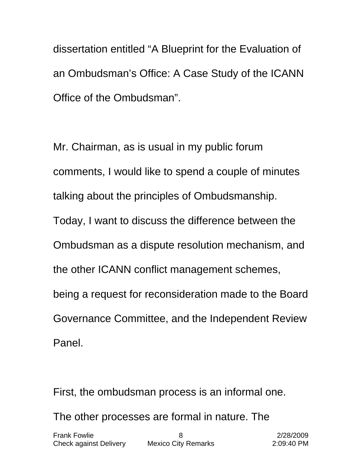dissertation entitled "A Blueprint for the Evaluation of an Ombudsman's Office: A Case Study of the ICANN Office of the Ombudsman".

Mr. Chairman, as is usual in my public forum comments, I would like to spend a couple of minutes talking about the principles of Ombudsmanship. Today, I want to discuss the difference between the Ombudsman as a dispute resolution mechanism, and the other ICANN conflict management schemes, being a request for reconsideration made to the Board Governance Committee, and the Independent Review Panel.

First, the ombudsman process is an informal one.

The other processes are formal in nature. The

| <b>Frank Fowlie</b>    |                            | 2/28/2009  |
|------------------------|----------------------------|------------|
| Check against Delivery | <b>Mexico City Remarks</b> | 2:09:40 PM |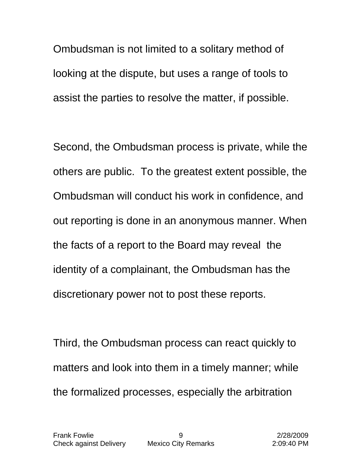Ombudsman is not limited to a solitary method of looking at the dispute, but uses a range of tools to assist the parties to resolve the matter, if possible.

Second, the Ombudsman process is private, while the others are public. To the greatest extent possible, the Ombudsman will conduct his work in confidence, and out reporting is done in an anonymous manner. When the facts of a report to the Board may reveal the identity of a complainant, the Ombudsman has the discretionary power not to post these reports.

Third, the Ombudsman process can react quickly to matters and look into them in a timely manner; while the formalized processes, especially the arbitration